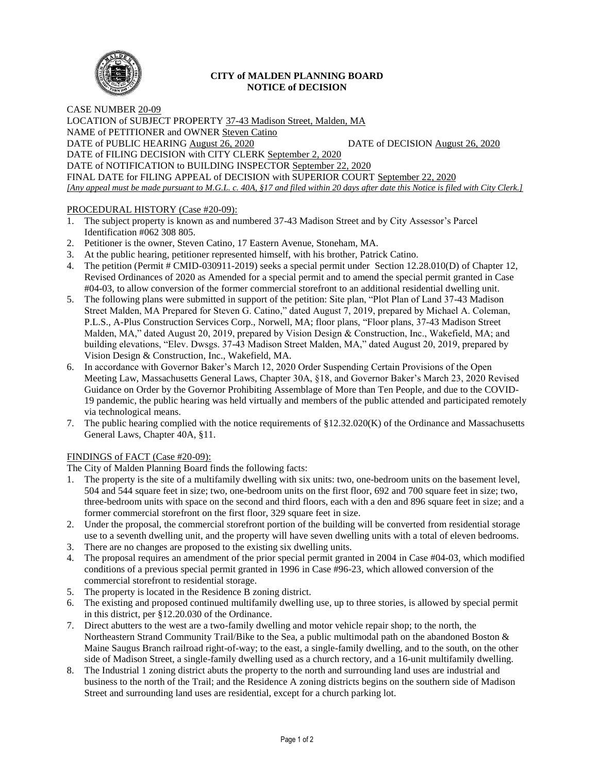

## **CITY of MALDEN PLANNING BOARD NOTICE of DECISION**

CASE NUMBER 20-09 LOCATION of SUBJECT PROPERTY 37-43 Madison Street, Malden, MA NAME of PETITIONER and OWNER Steven Catino DATE of PUBLIC HEARING August 26, 2020 DATE of DECISION August 26, 2020 DATE of FILING DECISION with CITY CLERK September 2, 2020 DATE of NOTIFICATION to BUILDING INSPECTOR September 22, 2020 FINAL DATE for FILING APPEAL of DECISION with SUPERIOR COURT September 22, 2020 *[Any appeal must be made pursuant to M.G.L. c. 40A, §17 and filed within 20 days after date this Notice is filed with City Clerk.]* 

# PROCEDURAL HISTORY (Case #20-09):

- 1. The subject property is known as and numbered 37-43 Madison Street and by City Assessor's Parcel Identification #062 308 805.
- 2. Petitioner is the owner, Steven Catino, 17 Eastern Avenue, Stoneham, MA.
- 3. At the public hearing, petitioner represented himself, with his brother, Patrick Catino.
- 4. The petition (Permit # CMID-030911-2019) seeks a special permit under Section 12.28.010(D) of Chapter 12, Revised Ordinances of 2020 as Amended for a special permit and to amend the special permit granted in Case #04-03, to allow conversion of the former commercial storefront to an additional residential dwelling unit.
- 5. The following plans were submitted in support of the petition: Site plan, "Plot Plan of Land 37-43 Madison Street Malden, MA Prepared for Steven G. Catino," dated August 7, 2019, prepared by Michael A. Coleman, P.L.S., A-Plus Construction Services Corp., Norwell, MA; floor plans, "Floor plans, 37-43 Madison Street Malden, MA," dated August 20, 2019, prepared by Vision Design & Construction, Inc., Wakefield, MA; and building elevations, "Elev. Dwsgs. 37-43 Madison Street Malden, MA," dated August 20, 2019, prepared by Vision Design & Construction, Inc., Wakefield, MA.
- 6. In accordance with Governor Baker's March 12, 2020 Order Suspending Certain Provisions of the Open Meeting Law, Massachusetts General Laws, Chapter 30A, §18, and Governor Baker's March 23, 2020 Revised Guidance on Order by the Governor Prohibiting Assemblage of More than Ten People, and due to the COVID-19 pandemic, the public hearing was held virtually and members of the public attended and participated remotely via technological means.
- 7. The public hearing complied with the notice requirements of §12.32.020(K) of the Ordinance and Massachusetts General Laws, Chapter 40A, §11.

## FINDINGS of FACT (Case #20-09):

The City of Malden Planning Board finds the following facts:

- 1. The property is the site of a multifamily dwelling with six units: two, one-bedroom units on the basement level, 504 and 544 square feet in size; two, one-bedroom units on the first floor, 692 and 700 square feet in size; two, three-bedroom units with space on the second and third floors, each with a den and 896 square feet in size; and a former commercial storefront on the first floor, 329 square feet in size.
- 2. Under the proposal, the commercial storefront portion of the building will be converted from residential storage use to a seventh dwelling unit, and the property will have seven dwelling units with a total of eleven bedrooms.
- 3. There are no changes are proposed to the existing six dwelling units.
- 4. The proposal requires an amendment of the prior special permit granted in 2004 in Case #04-03, which modified conditions of a previous special permit granted in 1996 in Case #96-23, which allowed conversion of the commercial storefront to residential storage.
- 5. The property is located in the Residence B zoning district.
- 6. The existing and proposed continued multifamily dwelling use, up to three stories, is allowed by special permit in this district, per §12.20.030 of the Ordinance.
- 7. Direct abutters to the west are a two-family dwelling and motor vehicle repair shop; to the north, the Northeastern Strand Community Trail/Bike to the Sea, a public multimodal path on the abandoned Boston & Maine Saugus Branch railroad right-of-way; to the east, a single-family dwelling, and to the south, on the other side of Madison Street, a single-family dwelling used as a church rectory, and a 16-unit multifamily dwelling.
- 8. The Industrial 1 zoning district abuts the property to the north and surrounding land uses are industrial and business to the north of the Trail; and the Residence A zoning districts begins on the southern side of Madison Street and surrounding land uses are residential, except for a church parking lot.